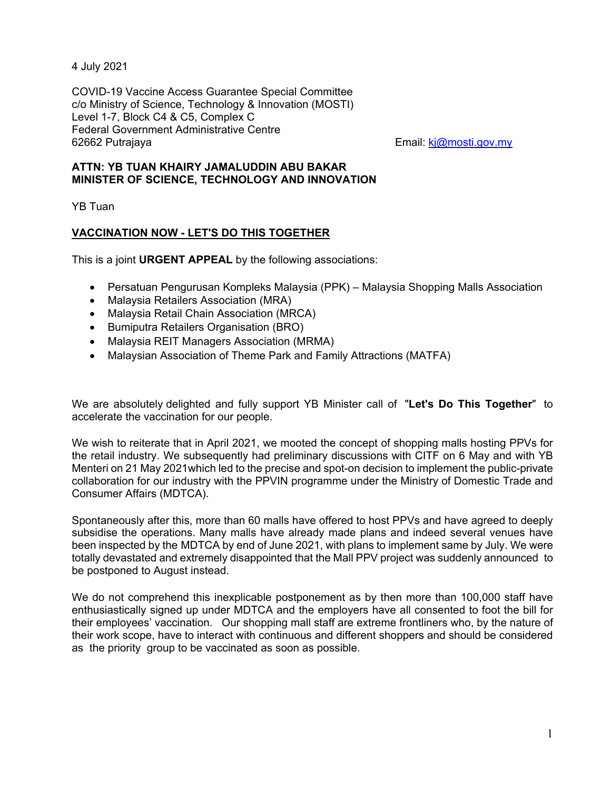4 July 2021

COVID-19 Vaccine Access Guarantee Special Committee c/o Ministry of Science, Technology & Innovation (MOSTI) Level 1-7, Block C4 & C5, Complex C Federal Government Administrative Centre 62662 Putrajaya Email: kj@mosti.gov.my

## **ATTN: YB TUAN KHAIRY JAMALUDDIN ABU BAKAR MINISTER OF SCIENCE, TECHNOLOGY AND INNOVATION**

YB Tuan

## **VACCINATION NOW - LET'S DO THIS TOGETHER**

This is a joint **URGENT APPEAL** by the following associations:

- Persatuan Pengurusan Kompleks Malaysia (PPK) Malaysia Shopping Malls Association
- Malaysia Retailers Association (MRA)
- Malaysia Retail Chain Association (MRCA)
- **•** Bumiputra Retailers Organisation (BRO)
- Malaysia REIT Managers Association (MRMA)
- Malaysian Association of Theme Park and Family Attractions (MATFA)

We are absolutely delighted and fully support YB Minister call of "**Let's Do This Together**" to accelerate the vaccination for our people.

We wish to reiterate that in April 2021, we mooted the concept of shopping malls hosting PPVs for the retail industry. We subsequently had preliminary discussions with CITF on 6 May and with YB Menteri on 21 May 2021which led to the precise and spot-on decision to implement the public-private collaboration for our industry with the PPVIN programme under the Ministry of Domestic Trade and Consumer Affairs (MDTCA).

Spontaneously after this, more than 60 malls have offered to host PPVs and have agreed to deeply subsidise the operations. Many malls have already made plans and indeed several venues have been inspected by the MDTCA by end of June 2021, with plans to implement same by July. We were totally devastated and extremely disappointed that the Mall PPV project was suddenly announced to be postponed to August instead.

We do not comprehend this inexplicable postponement as by then more than 100,000 staff have enthusiastically signed up under MDTCA and the employers have all consented to foot the bill for their employees' vaccination. Our shopping mall staff are extreme frontliners who, by the nature of their work scope, have to interact with continuous and different shoppers and should be considered as the priority group to be vaccinated as soon as possible.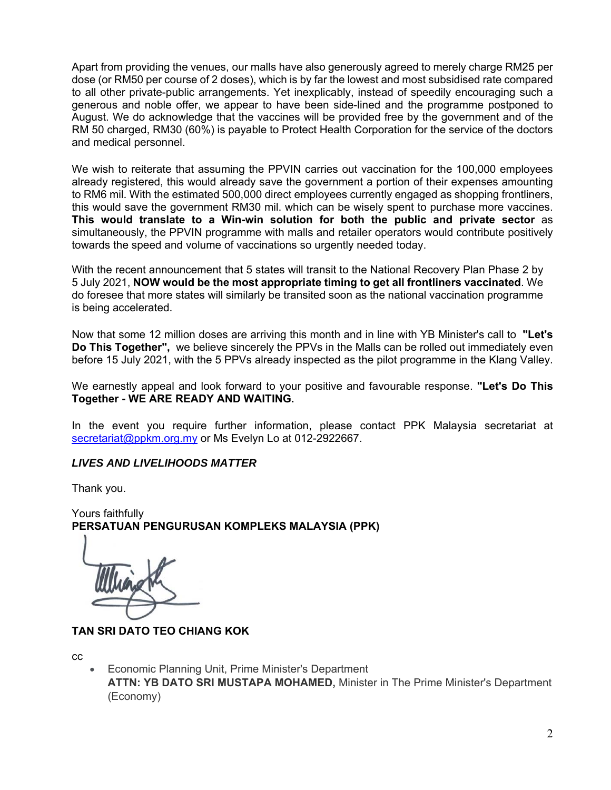Apart from providing the venues, our malls have also generously agreed to merely charge RM25 per dose (or RM50 per course of 2 doses), which is by far the lowest and most subsidised rate compared to all other private-public arrangements. Yet inexplicably, instead of speedily encouraging such a generous and noble offer, we appear to have been side-lined and the programme postponed to August. We do acknowledge that the vaccines will be provided free by the government and of the RM 50 charged, RM30 (60%) is payable to Protect Health Corporation for the service of the doctors and medical personnel.

We wish to reiterate that assuming the PPVIN carries out vaccination for the 100,000 employees already registered, this would already save the government a portion of their expenses amounting to RM6 mil. With the estimated 500,000 direct employees currently engaged as shopping frontliners, this would save the government RM30 mil. which can be wisely spent to purchase more vaccines. **This would translate to a Win-win solution for both the public and private sector** as simultaneously, the PPVIN programme with malls and retailer operators would contribute positively towards the speed and volume of vaccinations so urgently needed today.

With the recent announcement that 5 states will transit to the National Recovery Plan Phase 2 by 5 July 2021, **NOW would be the most appropriate timing to get all frontliners vaccinated**. We do foresee that more states will similarly be transited soon as the national vaccination programme is being accelerated.

Now that some 12 million doses are arriving this month and in line with YB Minister's call to **"Let's Do This Together",** we believe sincerely the PPVs in the Malls can be rolled out immediately even before 15 July 2021, with the 5 PPVs already inspected as the pilot programme in the Klang Valley.

We earnestly appeal and look forward to your positive and favourable response. **"Let's Do This Together - WE ARE READY AND WAITING.** 

In the event you require further information, please contact PPK Malaysia secretariat at secretariat@ppkm.org.my or Ms Evelyn Lo at 012-2922667.

## *LIVES AND LIVELIHOODS MATTER*

Thank you.

Yours faithfully **PERSATUAN PENGURUSAN KOMPLEKS MALAYSIA (PPK)** 

**TAN SRI DATO TEO CHIANG KOK** 

cc

 Economic Planning Unit, Prime Minister's Department **ATTN: YB DATO SRI MUSTAPA MOHAMED,** Minister in The Prime Minister's Department (Economy)